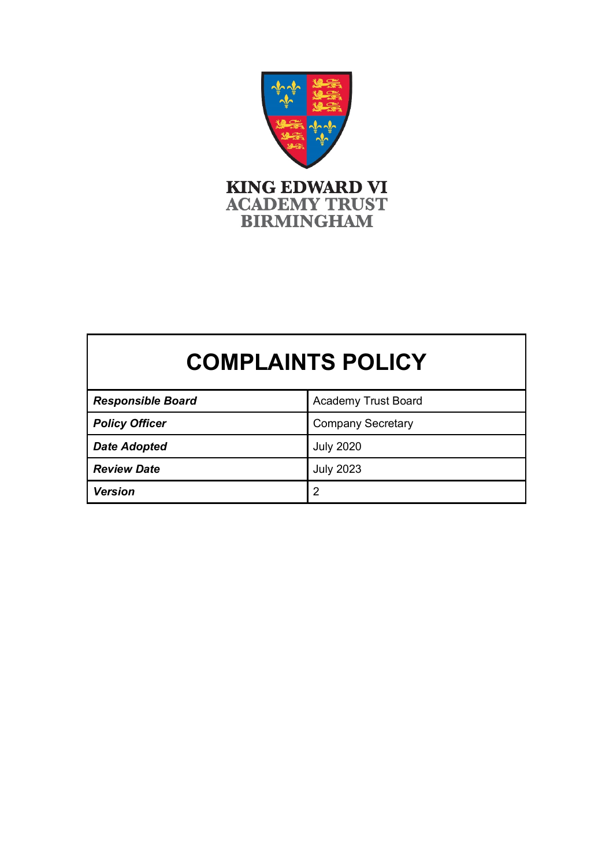

# **COMPLAINTS POLICY**

| <b>Responsible Board</b> | <b>Academy Trust Board</b> |
|--------------------------|----------------------------|
| <b>Policy Officer</b>    | <b>Company Secretary</b>   |
| <b>Date Adopted</b>      | <b>July 2020</b>           |
| <b>Review Date</b>       | July 2023                  |
| <b>Version</b>           | $\overline{2}$             |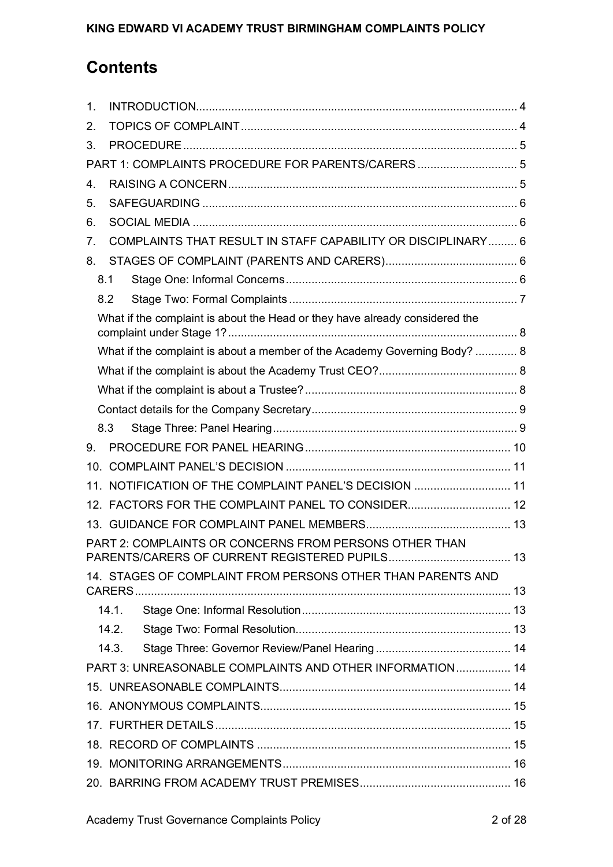# **Contents**

| $\mathbf 1$ .        |                                                                                                       |    |
|----------------------|-------------------------------------------------------------------------------------------------------|----|
| 2.                   |                                                                                                       |    |
| 3.                   |                                                                                                       |    |
|                      | PART 1: COMPLAINTS PROCEDURE FOR PARENTS/CARERS 5                                                     |    |
| $\mathbf{4}_{\cdot}$ |                                                                                                       |    |
| 5.                   |                                                                                                       |    |
| 6.                   |                                                                                                       |    |
| 7.                   | COMPLAINTS THAT RESULT IN STAFF CAPABILITY OR DISCIPLINARY 6                                          |    |
| 8.                   |                                                                                                       |    |
|                      | 8.1                                                                                                   |    |
|                      | 8.2                                                                                                   |    |
|                      | What if the complaint is about the Head or they have already considered the                           |    |
|                      | What if the complaint is about a member of the Academy Governing Body?  8                             |    |
|                      |                                                                                                       |    |
|                      |                                                                                                       |    |
|                      |                                                                                                       |    |
|                      | 8.3                                                                                                   |    |
| 9.                   |                                                                                                       |    |
|                      |                                                                                                       |    |
|                      | 11. NOTIFICATION OF THE COMPLAINT PANEL'S DECISION  11                                                |    |
|                      | 12. FACTORS FOR THE COMPLAINT PANEL TO CONSIDER 12                                                    |    |
|                      |                                                                                                       |    |
|                      | PART 2: COMPLAINTS OR CONCERNS FROM PERSONS OTHER THAN<br>PARENTS/CARERS OF CURRENT REGISTERED PUPILS | 13 |
|                      | 14. STAGES OF COMPLAINT FROM PERSONS OTHER THAN PARENTS AND<br>CARERS                                 |    |
|                      | 14.1.                                                                                                 |    |
|                      | 14.2.                                                                                                 |    |
|                      | 14.3.                                                                                                 |    |
|                      | PART 3: UNREASONABLE COMPLAINTS AND OTHER INFORMATION 14                                              |    |
|                      |                                                                                                       |    |
|                      |                                                                                                       |    |
|                      |                                                                                                       |    |
|                      |                                                                                                       |    |
|                      |                                                                                                       |    |
|                      |                                                                                                       |    |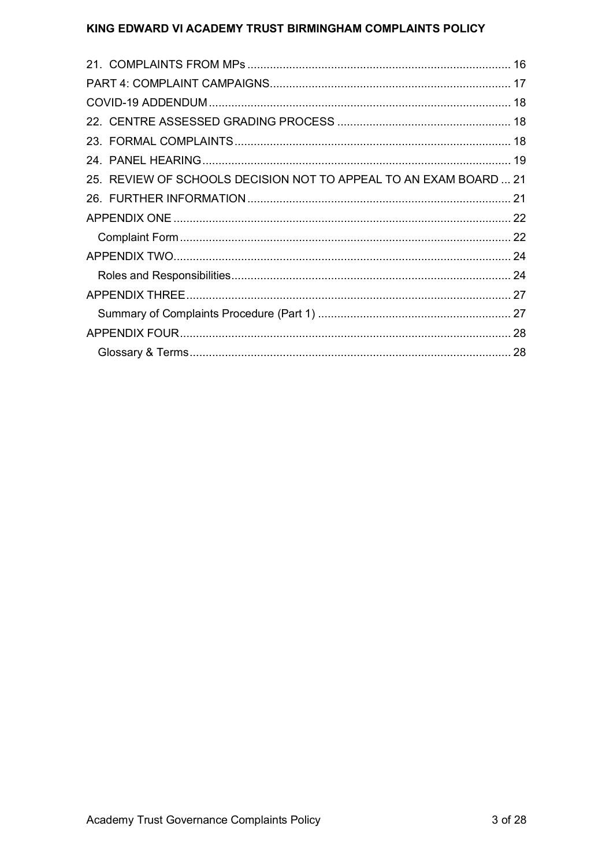| 25. REVIEW OF SCHOOLS DECISION NOT TO APPEAL TO AN EXAM BOARD  21 |  |
|-------------------------------------------------------------------|--|
|                                                                   |  |
|                                                                   |  |
|                                                                   |  |
|                                                                   |  |
|                                                                   |  |
|                                                                   |  |
|                                                                   |  |
|                                                                   |  |
|                                                                   |  |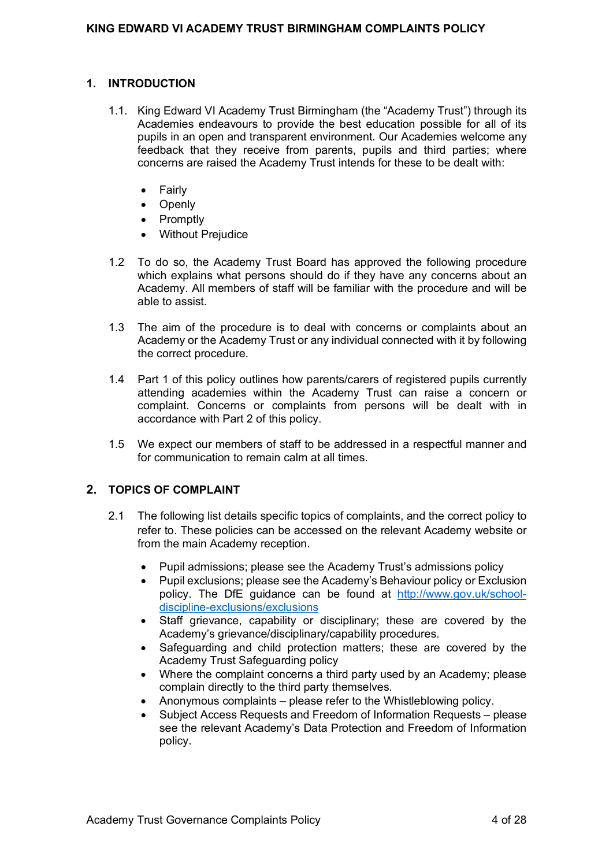#### <span id="page-3-0"></span>**1. INTRODUCTION**

- 1.1. King Edward VI Academy Trust Birmingham (the "Academy Trust") through its Academies endeavours to provide the best education possible for all of its pupils in an open and transparent environment. Our Academies welcome any feedback that they receive from parents, pupils and third parties; where concerns are raised the Academy Trust intends for these to be dealt with:
	- Fairly
	- Openly
	- Promptly
	- Without Prejudice
- 1.2 To do so, the Academy Trust Board has approved the following procedure which explains what persons should do if they have any concerns about an Academy. All members of staff will be familiar with the procedure and will be able to assist.
- 1.3 The aim of the procedure is to deal with concerns or complaints about an Academy or the Academy Trust or any individual connected with it by following the correct procedure.
- 1.4 Part 1 of this policy outlines how parents/carers of registered pupils currently attending academies within the Academy Trust can raise a concern or complaint. Concerns or complaints from persons will be dealt with in accordance with Part 2 of this policy.
- 1.5 We expect our members of staff to be addressed in a respectful manner and for communication to remain calm at all times.

## <span id="page-3-1"></span>**2. TOPICS OF COMPLAINT**

- 2.1 The following list details specific topics of complaints, and the correct policy to refer to. These policies can be accessed on the relevant Academy website or from the main Academy reception.
	- Pupil admissions; please see the Academy Trust's admissions policy
	- Pupil exclusions: please see the Academy's Behaviour policy or Exclusion policy. The DfE guidance can be found at [http://www.gov.uk/school](http://www.gov.uk/school-discipline-exclusions/exclusions)[discipline-exclusions/exclusions](http://www.gov.uk/school-discipline-exclusions/exclusions)
	- Staff grievance, capability or disciplinary; these are covered by the Academy's grievance/disciplinary/capability procedures.
	- Safeguarding and child protection matters; these are covered by the Academy Trust Safeguarding policy
	- Where the complaint concerns a third party used by an Academy; please complain directly to the third party themselves.
	- Anonymous complaints please refer to the Whistleblowing policy.
	- Subject Access Requests and Freedom of Information Requests please see the relevant Academy's Data Protection and Freedom of Information policy.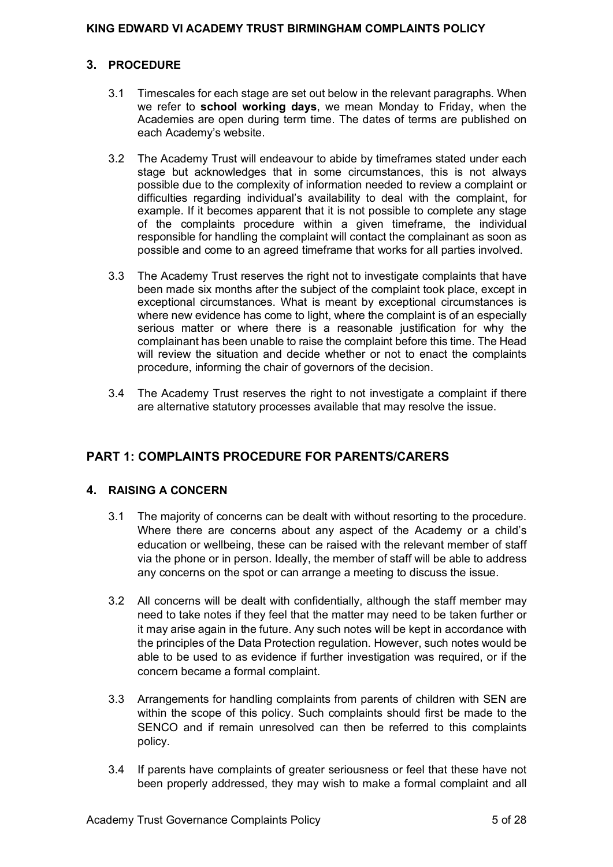## <span id="page-4-0"></span>**3. PROCEDURE**

- 3.1 Timescales for each stage are set out below in the relevant paragraphs. When we refer to **school working days**, we mean Monday to Friday, when the Academies are open during term time. The dates of terms are published on each Academy's website.
- 3.2 The Academy Trust will endeavour to abide by timeframes stated under each stage but acknowledges that in some circumstances, this is not always possible due to the complexity of information needed to review a complaint or difficulties regarding individual's availability to deal with the complaint, for example. If it becomes apparent that it is not possible to complete any stage of the complaints procedure within a given timeframe, the individual responsible for handling the complaint will contact the complainant as soon as possible and come to an agreed timeframe that works for all parties involved.
- 3.3 The Academy Trust reserves the right not to investigate complaints that have been made six months after the subject of the complaint took place, except in exceptional circumstances. What is meant by exceptional circumstances is where new evidence has come to light, where the complaint is of an especially serious matter or where there is a reasonable justification for why the complainant has been unable to raise the complaint before this time. The Head will review the situation and decide whether or not to enact the complaints procedure, informing the chair of governors of the decision.
- 3.4 The Academy Trust reserves the right to not investigate a complaint if there are alternative statutory processes available that may resolve the issue.

## <span id="page-4-1"></span>**PART 1: COMPLAINTS PROCEDURE FOR PARENTS/CARERS**

## <span id="page-4-2"></span>**4. RAISING A CONCERN**

- 3.1 The majority of concerns can be dealt with without resorting to the procedure. Where there are concerns about any aspect of the Academy or a child's education or wellbeing, these can be raised with the relevant member of staff via the phone or in person. Ideally, the member of staff will be able to address any concerns on the spot or can arrange a meeting to discuss the issue.
- 3.2 All concerns will be dealt with confidentially, although the staff member may need to take notes if they feel that the matter may need to be taken further or it may arise again in the future. Any such notes will be kept in accordance with the principles of the Data Protection regulation. However, such notes would be able to be used to as evidence if further investigation was required, or if the concern became a formal complaint.
- 3.3 Arrangements for handling complaints from parents of children with SEN are within the scope of this policy. Such complaints should first be made to the SENCO and if remain unresolved can then be referred to this complaints policy.
- 3.4 If parents have complaints of greater seriousness or feel that these have not been properly addressed, they may wish to make a formal complaint and all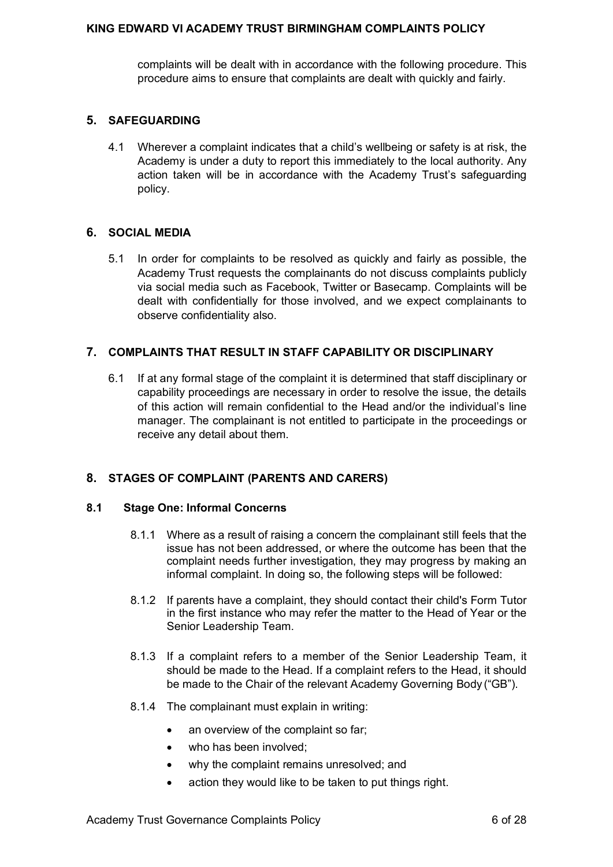complaints will be dealt with in accordance with the following procedure. This procedure aims to ensure that complaints are dealt with quickly and fairly.

## <span id="page-5-0"></span>**5. SAFEGUARDING**

4.1 Wherever a complaint indicates that a child's wellbeing or safety is at risk, the Academy is under a duty to report this immediately to the local authority. Any action taken will be in accordance with the Academy Trust's safeguarding policy.

## <span id="page-5-1"></span>**6. SOCIAL MEDIA**

5.1 In order for complaints to be resolved as quickly and fairly as possible, the Academy Trust requests the complainants do not discuss complaints publicly via social media such as Facebook, Twitter or Basecamp. Complaints will be dealt with confidentially for those involved, and we expect complainants to observe confidentiality also.

#### <span id="page-5-2"></span>**7. COMPLAINTS THAT RESULT IN STAFF CAPABILITY OR DISCIPLINARY**

6.1 If at any formal stage of the complaint it is determined that staff disciplinary or capability proceedings are necessary in order to resolve the issue, the details of this action will remain confidential to the Head and/or the individual's line manager. The complainant is not entitled to participate in the proceedings or receive any detail about them.

## <span id="page-5-3"></span>**8. STAGES OF COMPLAINT (PARENTS AND CARERS)**

#### <span id="page-5-4"></span>**8.1 Stage One: Informal Concerns**

- 8.1.1 Where as a result of raising a concern the complainant still feels that the issue has not been addressed, or where the outcome has been that the complaint needs further investigation, they may progress by making an informal complaint. In doing so, the following steps will be followed:
- 8.1.2 If parents have a complaint, they should contact their child's Form Tutor in the first instance who may refer the matter to the Head of Year or the Senior Leadership Team.
- 8.1.3 If a complaint refers to a member of the Senior Leadership Team, it should be made to the Head. If a complaint refers to the Head, it should be made to the Chair of the relevant Academy Governing Body ("GB").
- 8.1.4 The complainant must explain in writing:
	- an overview of the complaint so far;
	- who has been involved;
	- why the complaint remains unresolved; and
	- action they would like to be taken to put things right.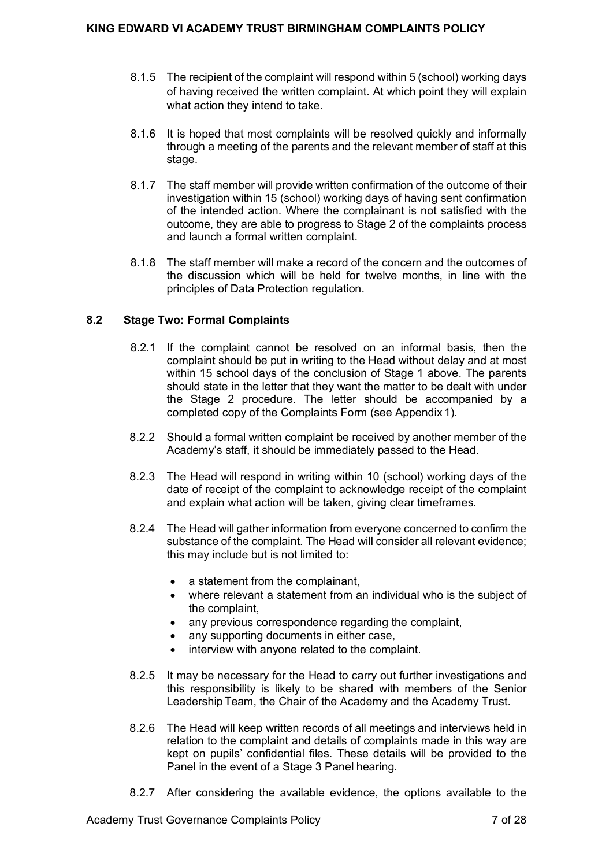- 8.1.5 The recipient of the complaint will respond within 5 (school) working days of having received the written complaint. At which point they will explain what action they intend to take.
- 8.1.6 It is hoped that most complaints will be resolved quickly and informally through a meeting of the parents and the relevant member of staff at this stage.
- 8.1.7 The staff member will provide written confirmation of the outcome of their investigation within 15 (school) working days of having sent confirmation of the intended action. Where the complainant is not satisfied with the outcome, they are able to progress to Stage 2 of the complaints process and launch a formal written complaint.
- 8.1.8 The staff member will make a record of the concern and the outcomes of the discussion which will be held for twelve months, in line with the principles of Data Protection regulation.

## <span id="page-6-0"></span>**8.2 Stage Two: Formal Complaints**

- 8.2.1 If the complaint cannot be resolved on an informal basis, then the complaint should be put in writing to the Head without delay and at most within 15 school days of the conclusion of Stage 1 above. The parents should state in the letter that they want the matter to be dealt with under the Stage 2 procedure. The letter should be accompanied by a completed copy of the Complaints Form (see Appendix 1).
- 8.2.2 Should a formal written complaint be received by another member of the Academy's staff, it should be immediately passed to the Head.
- 8.2.3 The Head will respond in writing within 10 (school) working days of the date of receipt of the complaint to acknowledge receipt of the complaint and explain what action will be taken, giving clear timeframes.
- 8.2.4 The Head will gather information from everyone concerned to confirm the substance of the complaint. The Head will consider all relevant evidence; this may include but is not limited to:
	- a statement from the complainant,
	- where relevant a statement from an individual who is the subject of the complaint,
	- any previous correspondence regarding the complaint,
	- any supporting documents in either case,
	- interview with anyone related to the complaint.
- 8.2.5 It may be necessary for the Head to carry out further investigations and this responsibility is likely to be shared with members of the Senior LeadershipTeam, the Chair of the Academy and the Academy Trust.
- 8.2.6 The Head will keep written records of all meetings and interviews held in relation to the complaint and details of complaints made in this way are kept on pupils' confidential files. These details will be provided to the Panel in the event of a Stage 3 Panel hearing.
- 8.2.7 After considering the available evidence, the options available to the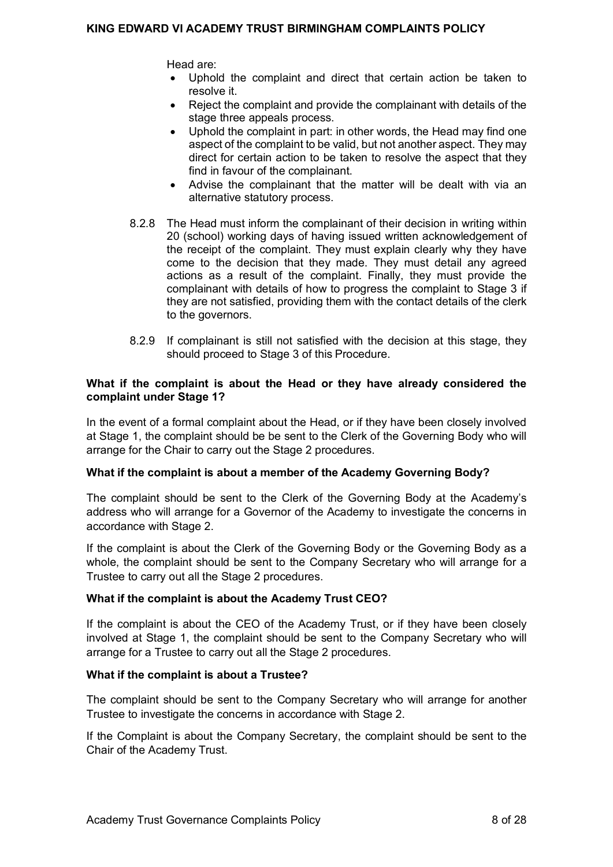Head are:

- Uphold the complaint and direct that certain action be taken to resolve it.
- Reject the complaint and provide the complainant with details of the stage three appeals process.
- Uphold the complaint in part: in other words, the Head may find one aspect of the complaint to be valid, but not another aspect. They may direct for certain action to be taken to resolve the aspect that they find in favour of the complainant.
- Advise the complainant that the matter will be dealt with via an alternative statutory process.
- 8.2.8 The Head must inform the complainant of their decision in writing within 20 (school) working days of having issued written acknowledgement of the receipt of the complaint. They must explain clearly why they have come to the decision that they made. They must detail any agreed actions as a result of the complaint. Finally, they must provide the complainant with details of how to progress the complaint to Stage 3 if they are not satisfied, providing them with the contact details of the clerk to the governors.
- 8.2.9 If complainant is still not satisfied with the decision at this stage, they should proceed to Stage 3 of this Procedure.

#### <span id="page-7-0"></span>**What if the complaint is about the Head or they have already considered the complaint under Stage 1?**

In the event of a formal complaint about the Head, or if they have been closely involved at Stage 1, the complaint should be be sent to the Clerk of the Governing Body who will arrange for the Chair to carry out the Stage 2 procedures.

## <span id="page-7-1"></span>**What if the complaint is about a member of the Academy Governing Body?**

The complaint should be sent to the Clerk of the Governing Body at the Academy's address who will arrange for a Governor of the Academy to investigate the concerns in accordance with Stage 2.

If the complaint is about the Clerk of the Governing Body or the Governing Body as a whole, the complaint should be sent to the Company Secretary who will arrange for a Trustee to carry out all the Stage 2 procedures.

## <span id="page-7-2"></span>**What if the complaint is about the Academy Trust CEO?**

If the complaint is about the CEO of the Academy Trust, or if they have been closely involved at Stage 1, the complaint should be sent to the Company Secretary who will arrange for a Trustee to carry out all the Stage 2 procedures.

## <span id="page-7-3"></span>**What if the complaint is about a Trustee?**

The complaint should be sent to the Company Secretary who will arrange for another Trustee to investigate the concerns in accordance with Stage 2.

If the Complaint is about the Company Secretary, the complaint should be sent to the Chair of the Academy Trust.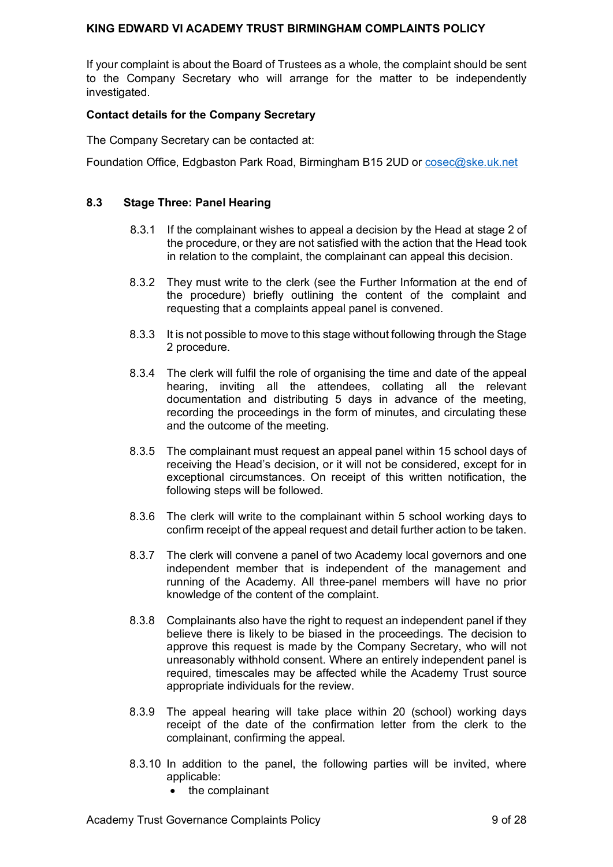If your complaint is about the Board of Trustees as a whole, the complaint should be sent to the Company Secretary who will arrange for the matter to be independently investigated.

#### <span id="page-8-0"></span>**Contact details for the Company Secretary**

The Company Secretary can be contacted at:

Foundation Office, Edgbaston Park Road, Birmingham B15 2UD or [cosec@ske.uk.net](mailto:cosec@ske.uk.net)

#### <span id="page-8-1"></span>**8.3 Stage Three: Panel Hearing**

- 8.3.1 If the complainant wishes to appeal a decision by the Head at stage 2 of the procedure, or they are not satisfied with the action that the Head took in relation to the complaint, the complainant can appeal this decision.
- 8.3.2 They must write to the clerk (see the Further Information at the end of the procedure) briefly outlining the content of the complaint and requesting that a complaints appeal panel is convened.
- 8.3.3 It is not possible to move to this stage without following through the Stage 2 procedure.
- 8.3.4 The clerk will fulfil the role of organising the time and date of the appeal hearing, inviting all the attendees, collating all the relevant documentation and distributing 5 days in advance of the meeting, recording the proceedings in the form of minutes, and circulating these and the outcome of the meeting.
- 8.3.5 The complainant must request an appeal panel within 15 school days of receiving the Head's decision, or it will not be considered, except for in exceptional circumstances. On receipt of this written notification, the following steps will be followed.
- 8.3.6 The clerk will write to the complainant within 5 school working days to confirm receipt of the appeal request and detail further action to be taken.
- 8.3.7 The clerk will convene a panel of two Academy local governors and one independent member that is independent of the management and running of the Academy. All three-panel members will have no prior knowledge of the content of the complaint.
- 8.3.8 Complainants also have the right to request an independent panel if they believe there is likely to be biased in the proceedings. The decision to approve this request is made by the Company Secretary, who will not unreasonably withhold consent. Where an entirely independent panel is required, timescales may be affected while the Academy Trust source appropriate individuals for the review.
- 8.3.9 The appeal hearing will take place within 20 (school) working days receipt of the date of the confirmation letter from the clerk to the complainant, confirming the appeal.
- 8.3.10 In addition to the panel, the following parties will be invited, where applicable:
	- the complainant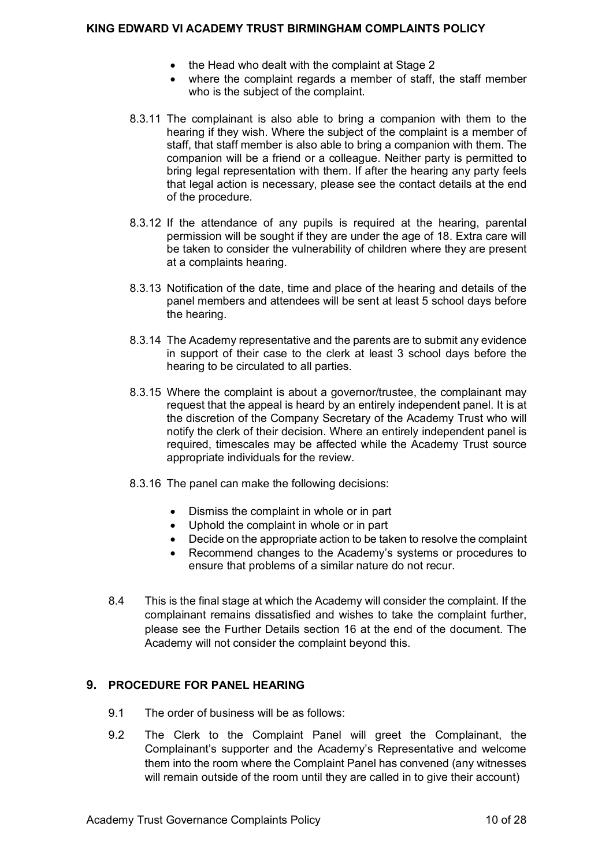- the Head who dealt with the complaint at Stage 2
- where the complaint regards a member of staff, the staff member who is the subject of the complaint.
- 8.3.11 The complainant is also able to bring a companion with them to the hearing if they wish. Where the subject of the complaint is a member of staff, that staff member is also able to bring a companion with them. The companion will be a friend or a colleague. Neither party is permitted to bring legal representation with them. If after the hearing any party feels that legal action is necessary, please see the contact details at the end of the procedure.
- 8.3.12 If the attendance of any pupils is required at the hearing, parental permission will be sought if they are under the age of 18. Extra care will be taken to consider the vulnerability of children where they are present at a complaints hearing.
- 8.3.13 Notification of the date, time and place of the hearing and details of the panel members and attendees will be sent at least 5 school days before the hearing.
- 8.3.14 The Academy representative and the parents are to submit any evidence in support of their case to the clerk at least 3 school days before the hearing to be circulated to all parties.
- 8.3.15 Where the complaint is about a governor/trustee, the complainant may request that the appeal is heard by an entirely independent panel. It is at the discretion of the Company Secretary of the Academy Trust who will notify the clerk of their decision. Where an entirely independent panel is required, timescales may be affected while the Academy Trust source appropriate individuals for the review.
- 8.3.16 The panel can make the following decisions:
	- Dismiss the complaint in whole or in part
	- Uphold the complaint in whole or in part
	- Decide on the appropriate action to be taken to resolve the complaint
	- Recommend changes to the Academy's systems or procedures to ensure that problems of a similar nature do not recur.
- 8.4 This is the final stage at which the Academy will consider the complaint. If the complainant remains dissatisfied and wishes to take the complaint further, please see the Further Details section 16 at the end of the document. The Academy will not consider the complaint beyond this.

## <span id="page-9-0"></span>**9. PROCEDURE FOR PANEL HEARING**

- 9.1 The order of business will be as follows:
- 9.2 The Clerk to the Complaint Panel will greet the Complainant, the Complainant's supporter and the Academy's Representative and welcome them into the room where the Complaint Panel has convened (any witnesses will remain outside of the room until they are called in to give their account)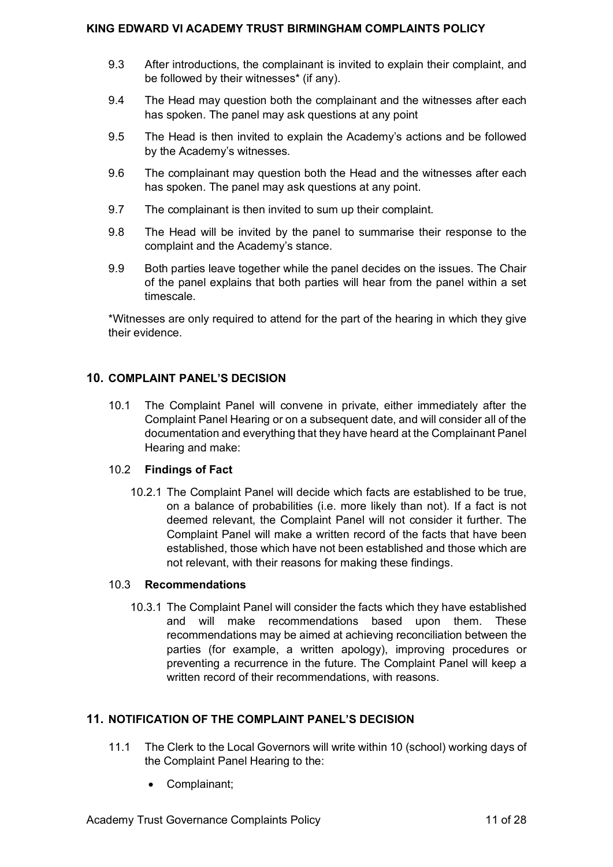- 9.3 After introductions, the complainant is invited to explain their complaint, and be followed by their witnesses\* (if any).
- 9.4 The Head may question both the complainant and the witnesses after each has spoken. The panel may ask questions at any point
- 9.5 The Head is then invited to explain the Academy's actions and be followed by the Academy's witnesses.
- 9.6 The complainant may question both the Head and the witnesses after each has spoken. The panel may ask questions at any point.
- 9.7 The complainant is then invited to sum up their complaint.
- 9.8 The Head will be invited by the panel to summarise their response to the complaint and the Academy's stance.
- 9.9 Both parties leave together while the panel decides on the issues. The Chair of the panel explains that both parties will hear from the panel within a set timescale.

\*Witnesses are only required to attend for the part of the hearing in which they give their evidence.

## <span id="page-10-0"></span>**10. COMPLAINT PANEL'S DECISION**

10.1 The Complaint Panel will convene in private, either immediately after the Complaint Panel Hearing or on a subsequent date, and will consider all of the documentation and everything that they have heard at the Complainant Panel Hearing and make:

## 10.2 **Findings of Fact**

10.2.1 The Complaint Panel will decide which facts are established to be true, on a balance of probabilities (i.e. more likely than not). If a fact is not deemed relevant, the Complaint Panel will not consider it further. The Complaint Panel will make a written record of the facts that have been established, those which have not been established and those which are not relevant, with their reasons for making these findings.

#### 10.3 **Recommendations**

10.3.1 The Complaint Panel will consider the facts which they have established and will make recommendations based upon them. These recommendations may be aimed at achieving reconciliation between the parties (for example, a written apology), improving procedures or preventing a recurrence in the future. The Complaint Panel will keep a written record of their recommendations, with reasons.

## <span id="page-10-1"></span>**11. NOTIFICATION OF THE COMPLAINT PANEL'S DECISION**

- 11.1 The Clerk to the Local Governors will write within 10 (school) working days of the Complaint Panel Hearing to the:
	- Complainant;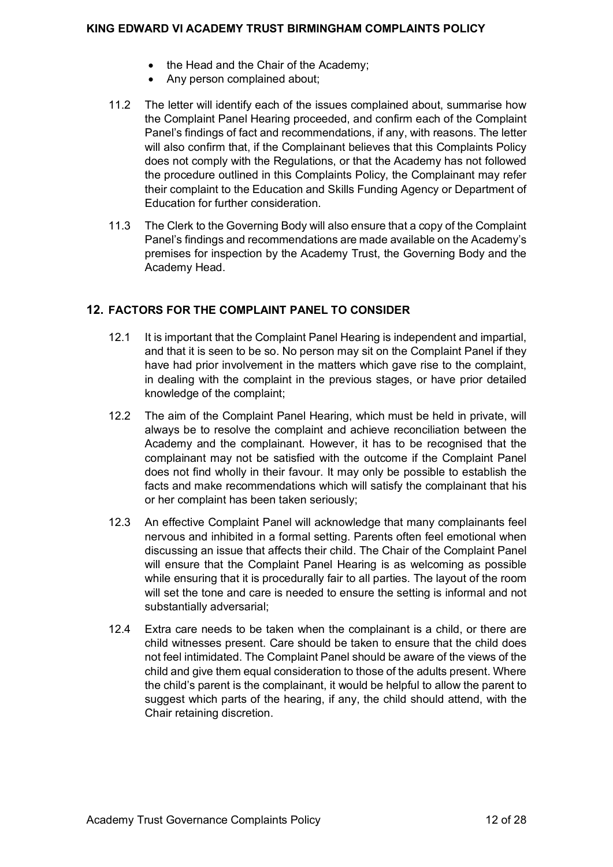- the Head and the Chair of the Academy:
- Any person complained about;
- 11.2 The letter will identify each of the issues complained about, summarise how the Complaint Panel Hearing proceeded, and confirm each of the Complaint Panel's findings of fact and recommendations, if any, with reasons. The letter will also confirm that, if the Complainant believes that this Complaints Policy does not comply with the Regulations, or that the Academy has not followed the procedure outlined in this Complaints Policy, the Complainant may refer their complaint to the Education and Skills Funding Agency or Department of Education for further consideration.
- 11.3 The Clerk to the Governing Body will also ensure that a copy of the Complaint Panel's findings and recommendations are made available on the Academy's premises for inspection by the Academy Trust, the Governing Body and the Academy Head.

## <span id="page-11-0"></span>**12. FACTORS FOR THE COMPLAINT PANEL TO CONSIDER**

- 12.1 It is important that the Complaint Panel Hearing is independent and impartial, and that it is seen to be so. No person may sit on the Complaint Panel if they have had prior involvement in the matters which gave rise to the complaint, in dealing with the complaint in the previous stages, or have prior detailed knowledge of the complaint;
- 12.2 The aim of the Complaint Panel Hearing, which must be held in private, will always be to resolve the complaint and achieve reconciliation between the Academy and the complainant. However, it has to be recognised that the complainant may not be satisfied with the outcome if the Complaint Panel does not find wholly in their favour. It may only be possible to establish the facts and make recommendations which will satisfy the complainant that his or her complaint has been taken seriously;
- 12.3 An effective Complaint Panel will acknowledge that many complainants feel nervous and inhibited in a formal setting. Parents often feel emotional when discussing an issue that affects their child. The Chair of the Complaint Panel will ensure that the Complaint Panel Hearing is as welcoming as possible while ensuring that it is procedurally fair to all parties. The layout of the room will set the tone and care is needed to ensure the setting is informal and not substantially adversarial;
- 12.4 Extra care needs to be taken when the complainant is a child, or there are child witnesses present. Care should be taken to ensure that the child does not feel intimidated. The Complaint Panel should be aware of the views of the child and give them equal consideration to those of the adults present. Where the child's parent is the complainant, it would be helpful to allow the parent to suggest which parts of the hearing, if any, the child should attend, with the Chair retaining discretion.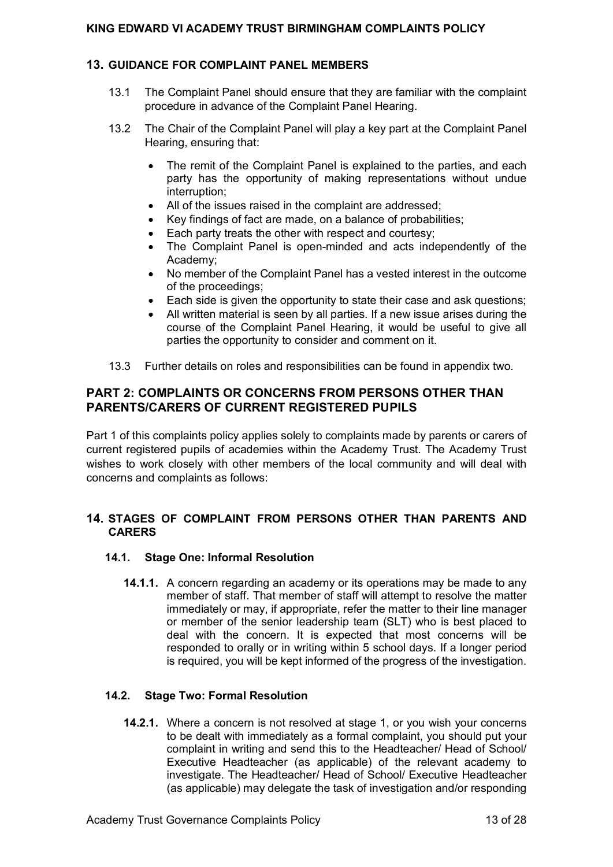## <span id="page-12-0"></span>**13. GUIDANCE FOR COMPLAINT PANEL MEMBERS**

- 13.1 The Complaint Panel should ensure that they are familiar with the complaint procedure in advance of the Complaint Panel Hearing.
- 13.2 The Chair of the Complaint Panel will play a key part at the Complaint Panel Hearing, ensuring that:
	- The remit of the Complaint Panel is explained to the parties, and each party has the opportunity of making representations without undue interruption;
	- All of the issues raised in the complaint are addressed:
	- Key findings of fact are made, on a balance of probabilities;
	- Each party treats the other with respect and courtesy;
	- The Complaint Panel is open-minded and acts independently of the Academy;
	- No member of the Complaint Panel has a vested interest in the outcome of the proceedings;
	- Each side is given the opportunity to state their case and ask questions:
	- All written material is seen by all parties. If a new issue arises during the course of the Complaint Panel Hearing, it would be useful to give all parties the opportunity to consider and comment on it.
- 13.3 Further details on roles and responsibilities can be found in appendix two.

## <span id="page-12-1"></span>**PART 2: COMPLAINTS OR CONCERNS FROM PERSONS OTHER THAN PARENTS/CARERS OF CURRENT REGISTERED PUPILS**

Part 1 of this complaints policy applies solely to complaints made by parents or carers of current registered pupils of academies within the Academy Trust. The Academy Trust wishes to work closely with other members of the local community and will deal with concerns and complaints as follows:

## <span id="page-12-2"></span>**14. STAGES OF COMPLAINT FROM PERSONS OTHER THAN PARENTS AND CARERS**

## <span id="page-12-3"></span>**14.1. Stage One: Informal Resolution**

**14.1.1.** A concern regarding an academy or its operations may be made to any member of staff. That member of staff will attempt to resolve the matter immediately or may, if appropriate, refer the matter to their line manager or member of the senior leadership team (SLT) who is best placed to deal with the concern. It is expected that most concerns will be responded to orally or in writing within 5 school days. If a longer period is required, you will be kept informed of the progress of the investigation.

## <span id="page-12-4"></span>**14.2. Stage Two: Formal Resolution**

**14.2.1.** Where a concern is not resolved at stage 1, or you wish your concerns to be dealt with immediately as a formal complaint, you should put your complaint in writing and send this to the Headteacher/ Head of School/ Executive Headteacher (as applicable) of the relevant academy to investigate. The Headteacher/ Head of School/ Executive Headteacher (as applicable) may delegate the task of investigation and/or responding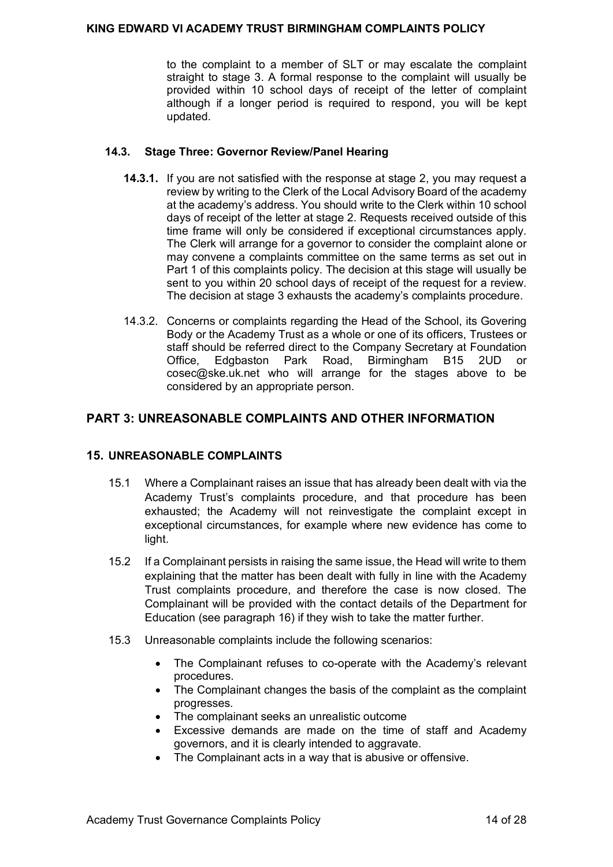to the complaint to a member of SLT or may escalate the complaint straight to stage 3. A formal response to the complaint will usually be provided within 10 school days of receipt of the letter of complaint although if a longer period is required to respond, you will be kept updated.

#### <span id="page-13-0"></span>**14.3. Stage Three: Governor Review/Panel Hearing**

- **14.3.1.** If you are not satisfied with the response at stage 2, you may request a review by writing to the Clerk of the Local Advisory Board of the academy at the academy's address. You should write to the Clerk within 10 school days of receipt of the letter at stage 2. Requests received outside of this time frame will only be considered if exceptional circumstances apply. The Clerk will arrange for a governor to consider the complaint alone or may convene a complaints committee on the same terms as set out in Part 1 of this complaints policy. The decision at this stage will usually be sent to you within 20 school days of receipt of the request for a review. The decision at stage 3 exhausts the academy's complaints procedure.
- 14.3.2. Concerns or complaints regarding the Head of the School, its Govering Body or the Academy Trust as a whole or one of its officers, Trustees or staff should be referred direct to the Company Secretary at Foundation Office, Edgbaston Park Road, Birmingham B15 2UD or cosec@ske.uk.net who will arrange for the stages above to be considered by an appropriate person.

## <span id="page-13-1"></span>**PART 3: UNREASONABLE COMPLAINTS AND OTHER INFORMATION**

## <span id="page-13-2"></span>**15. UNREASONABLE COMPLAINTS**

- 15.1 Where a Complainant raises an issue that has already been dealt with via the Academy Trust's complaints procedure, and that procedure has been exhausted; the Academy will not reinvestigate the complaint except in exceptional circumstances, for example where new evidence has come to light.
- 15.2 If a Complainant persists in raising the same issue, the Head will write to them explaining that the matter has been dealt with fully in line with the Academy Trust complaints procedure, and therefore the case is now closed. The Complainant will be provided with the contact details of the Department for Education (see paragraph 16) if they wish to take the matter further.
- 15.3 Unreasonable complaints include the following scenarios:
	- The Complainant refuses to co-operate with the Academy's relevant procedures.
	- The Complainant changes the basis of the complaint as the complaint progresses.
	- The complainant seeks an unrealistic outcome
	- Excessive demands are made on the time of staff and Academy governors, and it is clearly intended to aggravate.
	- The Complainant acts in a way that is abusive or offensive.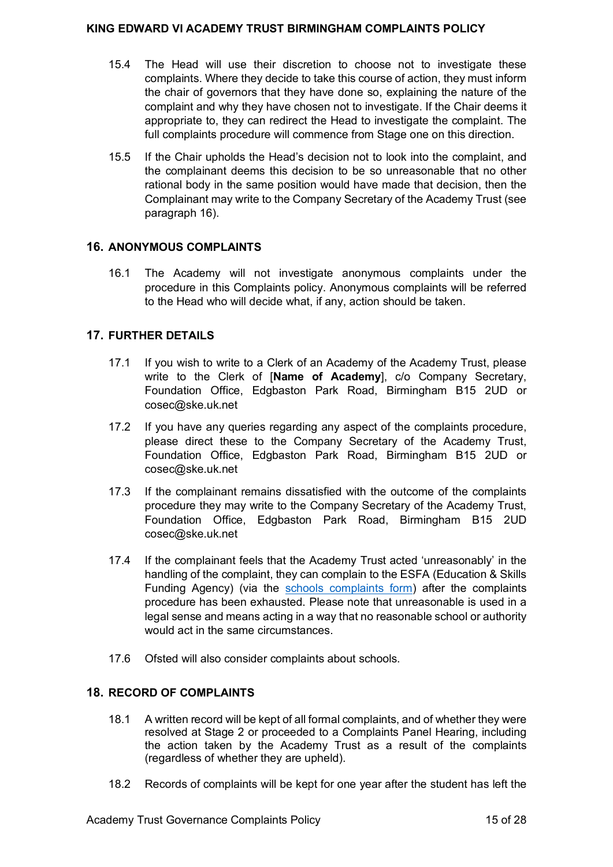- 15.4 The Head will use their discretion to choose not to investigate these complaints. Where they decide to take this course of action, they must inform the chair of governors that they have done so, explaining the nature of the complaint and why they have chosen not to investigate. If the Chair deems it appropriate to, they can redirect the Head to investigate the complaint. The full complaints procedure will commence from Stage one on this direction.
- 15.5 If the Chair upholds the Head's decision not to look into the complaint, and the complainant deems this decision to be so unreasonable that no other rational body in the same position would have made that decision, then the Complainant may write to the Company Secretary of the Academy Trust (see paragraph 16).

## <span id="page-14-0"></span>**16. ANONYMOUS COMPLAINTS**

16.1 The Academy will not investigate anonymous complaints under the procedure in this Complaints policy. Anonymous complaints will be referred to the Head who will decide what, if any, action should be taken.

## <span id="page-14-1"></span>**17. FURTHER DETAILS**

- 17.1 If you wish to write to a Clerk of an Academy of the Academy Trust, please write to the Clerk of [**Name of Academy**], c/o Company Secretary, Foundation Office, Edgbaston Park Road, Birmingham B15 2UD or cosec@ske.uk.net
- 17.2 If you have any queries regarding any aspect of the complaints procedure, please direct these to the Company Secretary of the Academy Trust, Foundation Office, Edgbaston Park Road, Birmingham B15 2UD or cosec@ske.uk.net
- 17.3 If the complainant remains dissatisfied with the outcome of the complaints procedure they may write to the Company Secretary of the Academy Trust, Foundation Office, Edgbaston Park Road, Birmingham B15 2UD cosec@ske.uk.net
- 17.4 If the complainant feels that the Academy Trust acted 'unreasonably' in the handling of the complaint, they can complain to the ESFA (Education & Skills Funding Agency) (via the [schools complaints form\)](https://form.education.gov.uk/fillform.php?self=1&form_id=cCCNJ1xSfBE&type=form&ShowMsg=1&form_name=Contact+the+Department+for+Education&noRegister=false&ret=%2Fmodule%2Fservices&noLoginPrompt=1) after the complaints procedure has been exhausted. Please note that unreasonable is used in a legal sense and means acting in a way that no reasonable school or authority would act in the same circumstances.
- 17.6 Ofsted will also consider complaints about schools.

## <span id="page-14-2"></span>**18. RECORD OF COMPLAINTS**

- 18.1 A written record will be kept of all formal complaints, and of whether they were resolved at Stage 2 or proceeded to a Complaints Panel Hearing, including the action taken by the Academy Trust as a result of the complaints (regardless of whether they are upheld).
- 18.2 Records of complaints will be kept for one year after the student has left the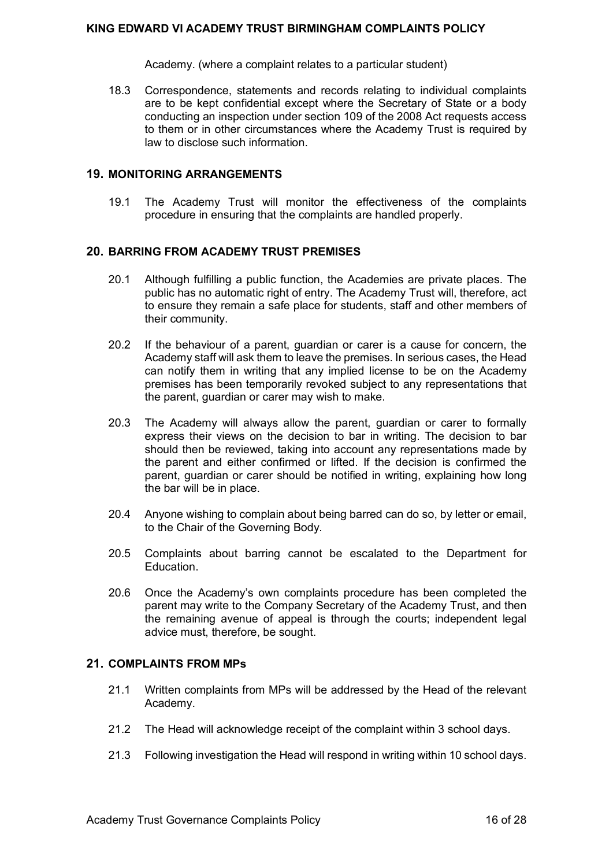Academy. (where a complaint relates to a particular student)

18.3 Correspondence, statements and records relating to individual complaints are to be kept confidential except where the Secretary of State or a body conducting an inspection under section 109 of the 2008 Act requests access to them or in other circumstances where the Academy Trust is required by law to disclose such information.

#### <span id="page-15-0"></span>**19. MONITORING ARRANGEMENTS**

19.1 The Academy Trust will monitor the effectiveness of the complaints procedure in ensuring that the complaints are handled properly.

## <span id="page-15-1"></span>**20. BARRING FROM ACADEMY TRUST PREMISES**

- 20.1 Although fulfilling a public function, the Academies are private places. The public has no automatic right of entry. The Academy Trust will, therefore, act to ensure they remain a safe place for students, staff and other members of their community.
- 20.2 If the behaviour of a parent, guardian or carer is a cause for concern, the Academy staff will ask them to leave the premises. In serious cases, the Head can notify them in writing that any implied license to be on the Academy premises has been temporarily revoked subject to any representations that the parent, guardian or carer may wish to make.
- 20.3 The Academy will always allow the parent, guardian or carer to formally express their views on the decision to bar in writing. The decision to bar should then be reviewed, taking into account any representations made by the parent and either confirmed or lifted. If the decision is confirmed the parent, guardian or carer should be notified in writing, explaining how long the bar will be in place.
- 20.4 Anyone wishing to complain about being barred can do so, by letter or email, to the Chair of the Governing Body.
- 20.5 Complaints about barring cannot be escalated to the Department for Education.
- 20.6 Once the Academy's own complaints procedure has been completed the parent may write to the Company Secretary of the Academy Trust, and then the remaining avenue of appeal is through the courts; independent legal advice must, therefore, be sought.

## <span id="page-15-2"></span>**21. COMPLAINTS FROM MPs**

- 21.1 Written complaints from MPs will be addressed by the Head of the relevant Academy.
- 21.2 The Head will acknowledge receipt of the complaint within 3 school days.
- 21.3 Following investigation the Head will respond in writing within 10 school days.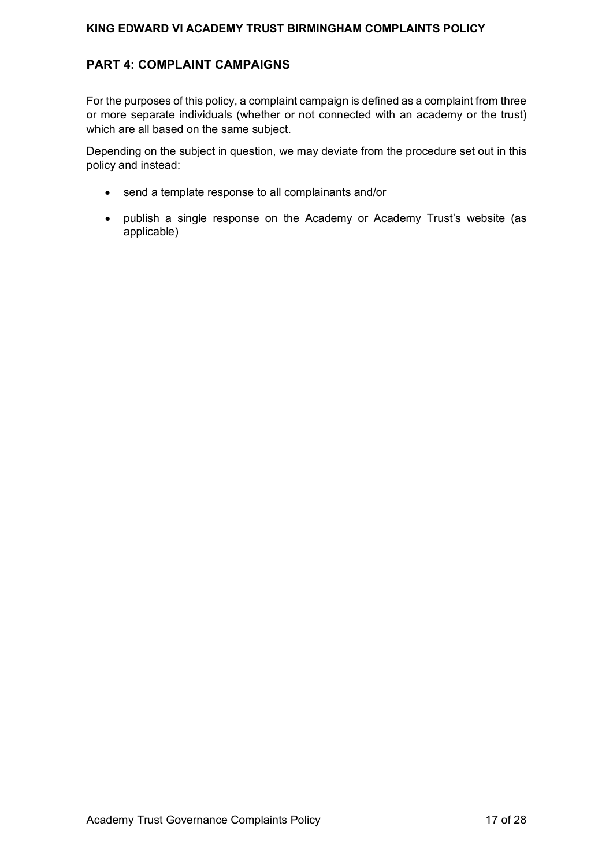## <span id="page-16-0"></span>**PART 4: COMPLAINT CAMPAIGNS**

For the purposes of this policy, a complaint campaign is defined as a complaint from three or more separate individuals (whether or not connected with an academy or the trust) which are all based on the same subject.

Depending on the subject in question, we may deviate from the procedure set out in this policy and instead:

- send a template response to all complainants and/or
- publish a single response on the Academy or Academy Trust's website (as applicable)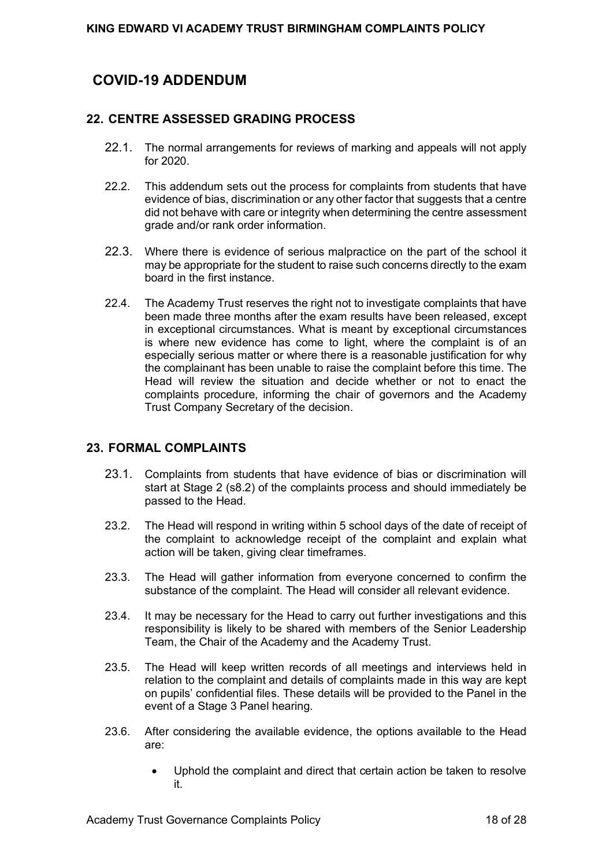# <span id="page-17-0"></span>**COVID-19 ADDENDUM**

## <span id="page-17-1"></span>**22. CENTRE ASSESSED GRADING PROCESS**

- 22.1. The normal arrangements for reviews of marking and appeals will not apply for 2020.
- 22.2. This addendum sets out the process for complaints from students that have evidence of bias, discrimination or any other factor that suggests that a centre did not behave with care or integrity when determining the centre assessment grade and/or rank order information.
- 22.3. Where there is evidence of serious malpractice on the part of the school it may be appropriate for the student to raise such concerns directly to the exam board in the first instance.
- 22.4. The Academy Trust reserves the right not to investigate complaints that have been made three months after the exam results have been released, except in exceptional circumstances. What is meant by exceptional circumstances is where new evidence has come to light, where the complaint is of an especially serious matter or where there is a reasonable justification for why the complainant has been unable to raise the complaint before this time. The Head will review the situation and decide whether or not to enact the complaints procedure, informing the chair of governors and the Academy Trust Company Secretary of the decision.

## <span id="page-17-2"></span>**23. FORMAL COMPLAINTS**

- 23.1. Complaints from students that have evidence of bias or discrimination will start at Stage 2 (s8.2) of the complaints process and should immediately be passed to the Head.
- 23.2. The Head will respond in writing within 5 school days of the date of receipt of the complaint to acknowledge receipt of the complaint and explain what action will be taken, giving clear timeframes.
- 23.3. The Head will gather information from everyone concerned to confirm the substance of the complaint. The Head will consider all relevant evidence.
- 23.4. It may be necessary for the Head to carry out further investigations and this responsibility is likely to be shared with members of the Senior Leadership Team, the Chair of the Academy and the Academy Trust.
- 23.5. The Head will keep written records of all meetings and interviews held in relation to the complaint and details of complaints made in this way are kept on pupils' confidential files. These details will be provided to the Panel in the event of a Stage 3 Panel hearing.
- 23.6. After considering the available evidence, the options available to the Head are:
	- Uphold the complaint and direct that certain action be taken to resolve it.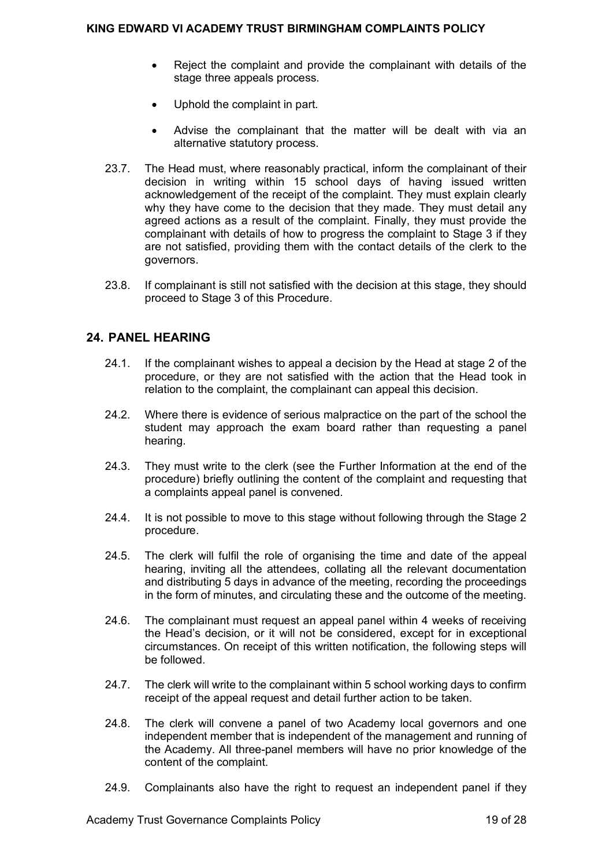- Reject the complaint and provide the complainant with details of the stage three appeals process.
- Uphold the complaint in part.
- Advise the complainant that the matter will be dealt with via an alternative statutory process.
- 23.7. The Head must, where reasonably practical, inform the complainant of their decision in writing within 15 school days of having issued written acknowledgement of the receipt of the complaint. They must explain clearly why they have come to the decision that they made. They must detail any agreed actions as a result of the complaint. Finally, they must provide the complainant with details of how to progress the complaint to Stage 3 if they are not satisfied, providing them with the contact details of the clerk to the governors.
- 23.8. If complainant is still not satisfied with the decision at this stage, they should proceed to Stage 3 of this Procedure.

## <span id="page-18-0"></span>**24. PANEL HEARING**

- 24.1. If the complainant wishes to appeal a decision by the Head at stage 2 of the procedure, or they are not satisfied with the action that the Head took in relation to the complaint, the complainant can appeal this decision.
- 24.2. Where there is evidence of serious malpractice on the part of the school the student may approach the exam board rather than requesting a panel hearing.
- 24.3. They must write to the clerk (see the Further Information at the end of the procedure) briefly outlining the content of the complaint and requesting that a complaints appeal panel is convened.
- 24.4. It is not possible to move to this stage without following through the Stage 2 procedure.
- 24.5. The clerk will fulfil the role of organising the time and date of the appeal hearing, inviting all the attendees, collating all the relevant documentation and distributing 5 days in advance of the meeting, recording the proceedings in the form of minutes, and circulating these and the outcome of the meeting.
- 24.6. The complainant must request an appeal panel within 4 weeks of receiving the Head's decision, or it will not be considered, except for in exceptional circumstances. On receipt of this written notification, the following steps will be followed.
- 24.7. The clerk will write to the complainant within 5 school working days to confirm receipt of the appeal request and detail further action to be taken.
- 24.8. The clerk will convene a panel of two Academy local governors and one independent member that is independent of the management and running of the Academy. All three-panel members will have no prior knowledge of the content of the complaint.
- 24.9. Complainants also have the right to request an independent panel if they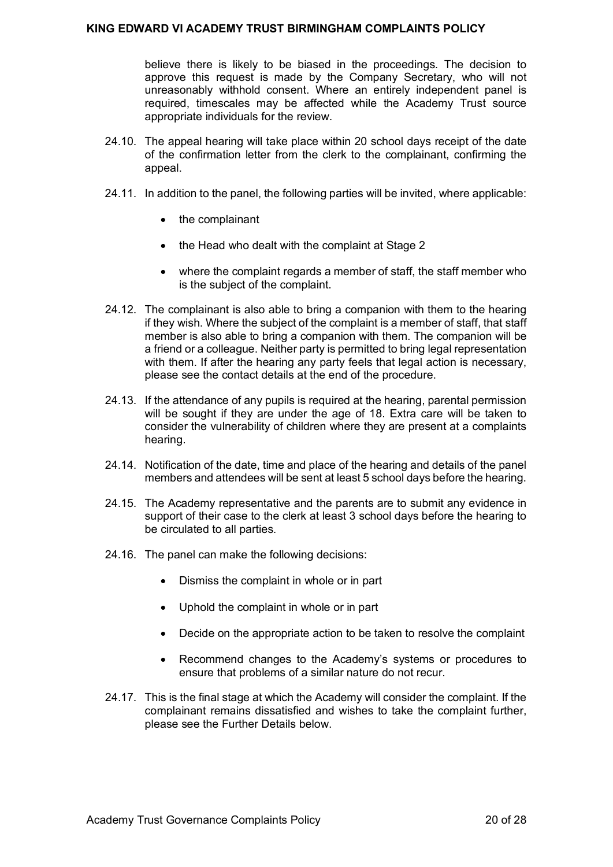believe there is likely to be biased in the proceedings. The decision to approve this request is made by the Company Secretary, who will not unreasonably withhold consent. Where an entirely independent panel is required, timescales may be affected while the Academy Trust source appropriate individuals for the review.

- 24.10. The appeal hearing will take place within 20 school days receipt of the date of the confirmation letter from the clerk to the complainant, confirming the appeal.
- 24.11. In addition to the panel, the following parties will be invited, where applicable:
	- the complainant
	- the Head who dealt with the complaint at Stage 2
	- where the complaint regards a member of staff, the staff member who is the subject of the complaint.
- 24.12. The complainant is also able to bring a companion with them to the hearing if they wish. Where the subject of the complaint is a member of staff, that staff member is also able to bring a companion with them. The companion will be a friend or a colleague. Neither party is permitted to bring legal representation with them. If after the hearing any party feels that legal action is necessary, please see the contact details at the end of the procedure.
- 24.13. If the attendance of any pupils is required at the hearing, parental permission will be sought if they are under the age of 18. Extra care will be taken to consider the vulnerability of children where they are present at a complaints hearing.
- 24.14. Notification of the date, time and place of the hearing and details of the panel members and attendees will be sent at least 5 school days before the hearing.
- 24.15. The Academy representative and the parents are to submit any evidence in support of their case to the clerk at least 3 school days before the hearing to be circulated to all parties.
- 24.16. The panel can make the following decisions:
	- Dismiss the complaint in whole or in part
	- Uphold the complaint in whole or in part
	- Decide on the appropriate action to be taken to resolve the complaint
	- Recommend changes to the Academy's systems or procedures to ensure that problems of a similar nature do not recur.
- 24.17. This is the final stage at which the Academy will consider the complaint. If the complainant remains dissatisfied and wishes to take the complaint further, please see the Further Details below.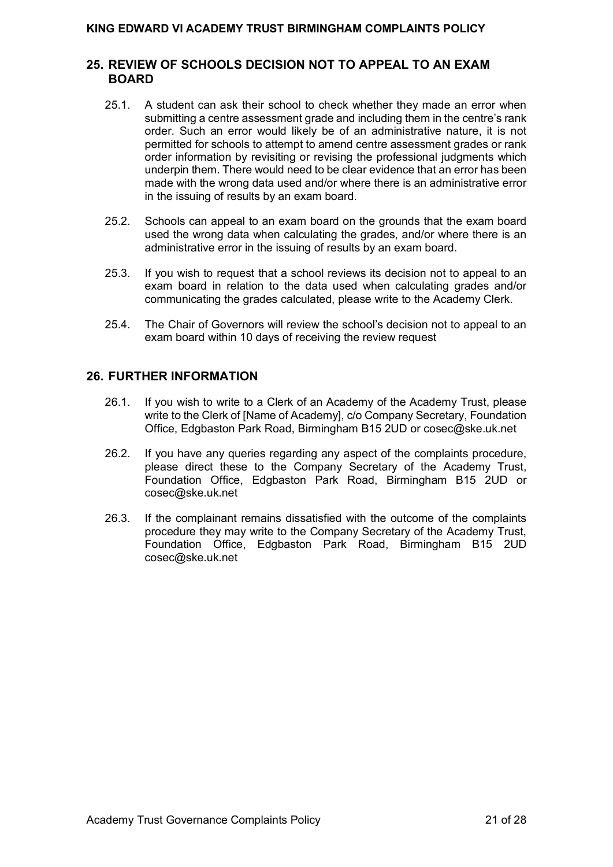## <span id="page-20-0"></span>**25. REVIEW OF SCHOOLS DECISION NOT TO APPEAL TO AN EXAM BOARD**

- 25.1. A student can ask their school to check whether they made an error when submitting a centre assessment grade and including them in the centre's rank order. Such an error would likely be of an administrative nature, it is not permitted for schools to attempt to amend centre assessment grades or rank order information by revisiting or revising the professional judgments which underpin them. There would need to be clear evidence that an error has been made with the wrong data used and/or where there is an administrative error in the issuing of results by an exam board.
- 25.2. Schools can appeal to an exam board on the grounds that the exam board used the wrong data when calculating the grades, and/or where there is an administrative error in the issuing of results by an exam board.
- 25.3. If you wish to request that a school reviews its decision not to appeal to an exam board in relation to the data used when calculating grades and/or communicating the grades calculated, please write to the Academy Clerk.
- 25.4. The Chair of Governors will review the school's decision not to appeal to an exam board within 10 days of receiving the review request

## <span id="page-20-1"></span>**26. FURTHER INFORMATION**

- 26.1. If you wish to write to a Clerk of an Academy of the Academy Trust, please write to the Clerk of [Name of Academy], c/o Company Secretary, Foundation Office, Edgbaston Park Road, Birmingham B15 2UD or cosec@ske.uk.net
- 26.2. If you have any queries regarding any aspect of the complaints procedure, please direct these to the Company Secretary of the Academy Trust, Foundation Office, Edgbaston Park Road, Birmingham B15 2UD or cosec@ske.uk.net
- 26.3. If the complainant remains dissatisfied with the outcome of the complaints procedure they may write to the Company Secretary of the Academy Trust, Foundation Office, Edgbaston Park Road, Birmingham B15 2UD cosec@ske.uk.net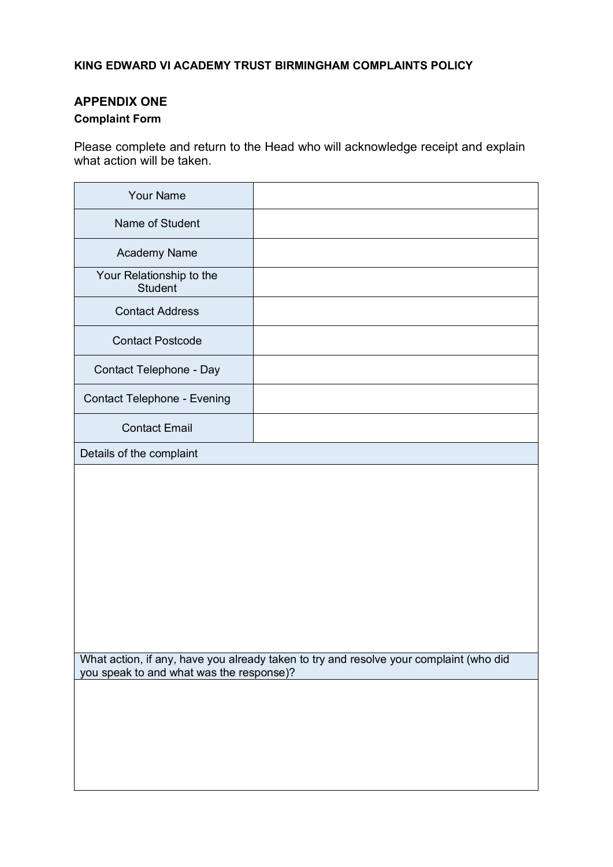## <span id="page-21-0"></span>**APPENDIX ONE**

# <span id="page-21-1"></span>**Complaint Form**

Please complete and return to the Head who will acknowledge receipt and explain what action will be taken.

| <b>Your Name</b>                           |                                                                                        |
|--------------------------------------------|----------------------------------------------------------------------------------------|
| Name of Student                            |                                                                                        |
| <b>Academy Name</b>                        |                                                                                        |
| Your Relationship to the<br><b>Student</b> |                                                                                        |
| <b>Contact Address</b>                     |                                                                                        |
| <b>Contact Postcode</b>                    |                                                                                        |
| Contact Telephone - Day                    |                                                                                        |
| Contact Telephone - Evening                |                                                                                        |
| <b>Contact Email</b>                       |                                                                                        |
| Details of the complaint                   |                                                                                        |
|                                            |                                                                                        |
|                                            |                                                                                        |
|                                            |                                                                                        |
|                                            |                                                                                        |
|                                            |                                                                                        |
|                                            |                                                                                        |
|                                            |                                                                                        |
|                                            |                                                                                        |
|                                            |                                                                                        |
| you speak to and what was the response)?   | What action, if any, have you already taken to try and resolve your complaint (who did |
|                                            |                                                                                        |
|                                            |                                                                                        |
|                                            |                                                                                        |
|                                            |                                                                                        |
|                                            |                                                                                        |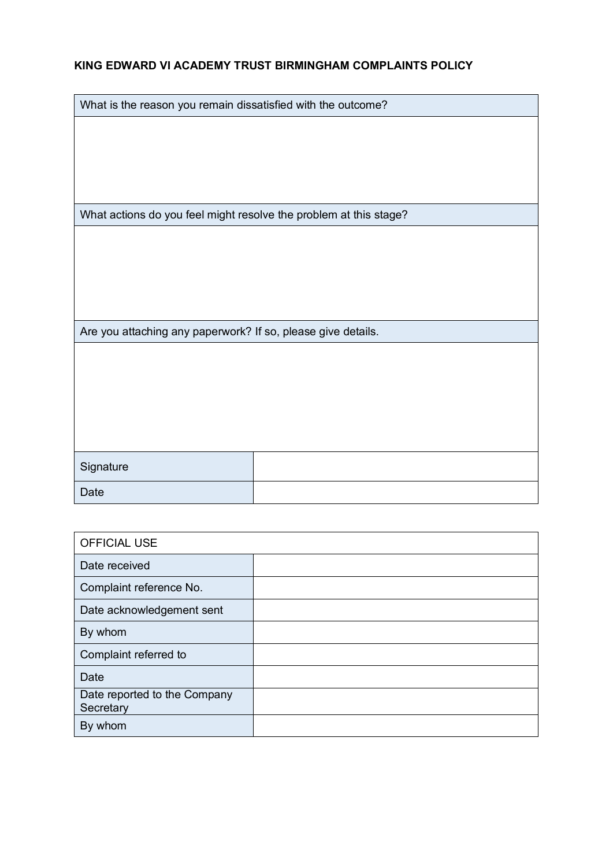What is the reason you remain dissatisfied with the outcome?

What actions do you feel might resolve the problem at this stage?

Are you attaching any paperwork? If so, please give details.

| Signature |  |
|-----------|--|
| Date      |  |

| <b>OFFICIAL USE</b>                       |  |
|-------------------------------------------|--|
| Date received                             |  |
| Complaint reference No.                   |  |
| Date acknowledgement sent                 |  |
| By whom                                   |  |
| Complaint referred to                     |  |
| Date                                      |  |
| Date reported to the Company<br>Secretary |  |
| By whom                                   |  |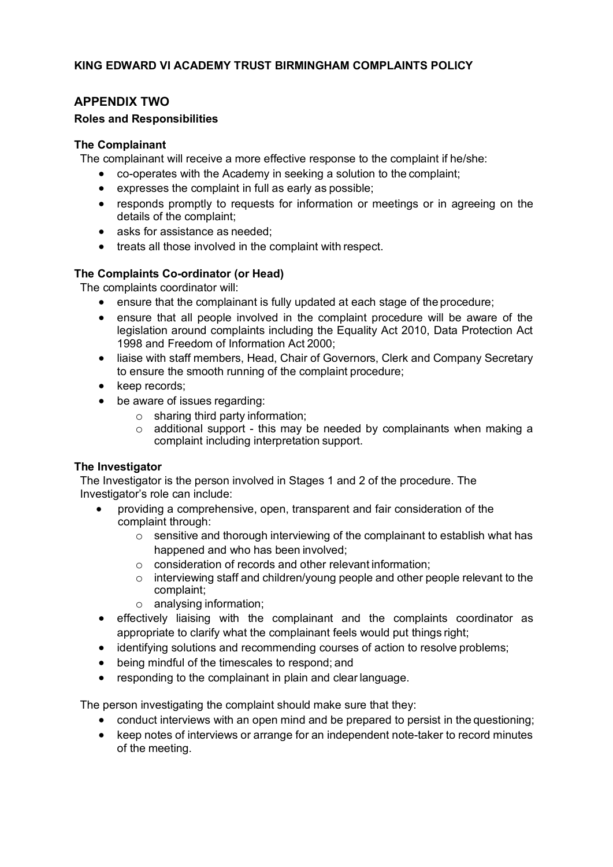## <span id="page-23-0"></span>**APPENDIX TWO**

## <span id="page-23-1"></span>**Roles and Responsibilities**

#### **The Complainant**

The complainant will receive a more effective response to the complaint if he/she:

- co-operates with the Academy in seeking a solution to the complaint;
- expresses the complaint in full as early as possible;
- responds promptly to requests for information or meetings or in agreeing on the details of the complaint;
- asks for assistance as needed:
- treats all those involved in the complaint with respect.

## **The Complaints Co-ordinator (or Head)**

The complaints coordinator will:

- ensure that the complainant is fully updated at each stage of the procedure;
- ensure that all people involved in the complaint procedure will be aware of the legislation around complaints including the Equality Act 2010, Data Protection Act 1998 and Freedom of Information Act 2000;
- liaise with staff members, Head, Chair of Governors, Clerk and Company Secretary to ensure the smooth running of the complaint procedure;
- keep records;
- be aware of issues regarding:
	- $\circ$  sharing third party information:
	- $\circ$  additional support this may be needed by complainants when making a complaint including interpretation support.

## **The Investigator**

The Investigator is the person involved in Stages 1 and 2 of the procedure. The Investigator's role can include:

- providing a comprehensive, open, transparent and fair consideration of the complaint through:
	- $\circ$  sensitive and thorough interviewing of the complainant to establish what has happened and who has been involved;
	- $\circ$  consideration of records and other relevant information;
	- o interviewing staff and children/young people and other people relevant to the complaint;
	- o analysing information;
- effectively liaising with the complainant and the complaints coordinator as appropriate to clarify what the complainant feels would put things right;
- identifying solutions and recommending courses of action to resolve problems;
- being mindful of the timescales to respond; and
- responding to the complainant in plain and clear language.

The person investigating the complaint should make sure that they:

- conduct interviews with an open mind and be prepared to persist in the questioning;
- keep notes of interviews or arrange for an independent note-taker to record minutes of the meeting.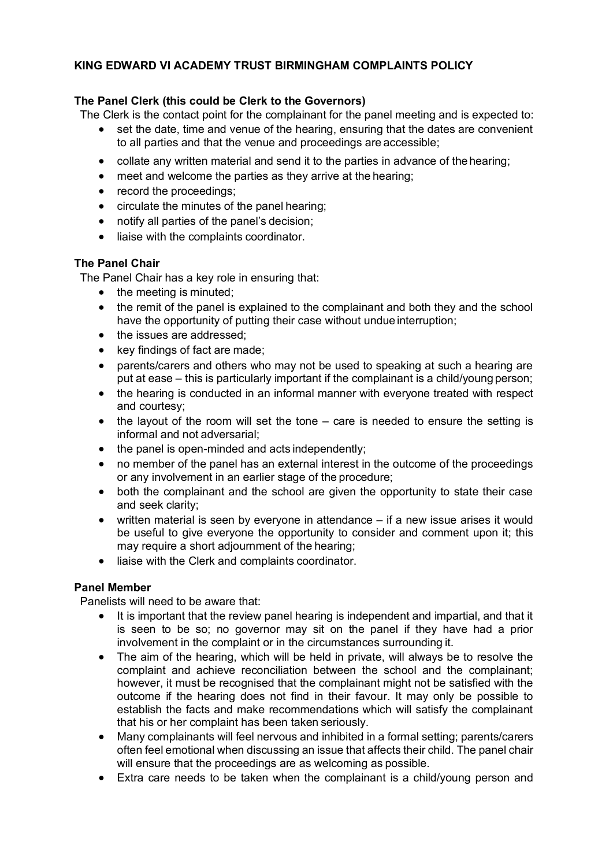## **The Panel Clerk (this could be Clerk to the Governors)**

The Clerk is the contact point for the complainant for the panel meeting and is expected to:

- set the date, time and venue of the hearing, ensuring that the dates are convenient to all parties and that the venue and proceedings are accessible;
- collate any written material and send it to the parties in advance of the hearing;
- meet and welcome the parties as they arrive at the hearing:
- record the proceedings;
- circulate the minutes of the panel hearing;
- notify all parties of the panel's decision;
- liaise with the complaints coordinator.

## **The Panel Chair**

The Panel Chair has a key role in ensuring that:

- the meeting is minuted;
- the remit of the panel is explained to the complainant and both they and the school have the opportunity of putting their case without undue interruption;
- the issues are addressed:
- key findings of fact are made;
- parents/carers and others who may not be used to speaking at such a hearing are put at ease – this is particularly important if the complainant is a child/young person;
- the hearing is conducted in an informal manner with everyone treated with respect and courtesy;
- the layout of the room will set the tone care is needed to ensure the setting is informal and not adversarial;
- the panel is open-minded and acts independently:
- no member of the panel has an external interest in the outcome of the proceedings or any involvement in an earlier stage of the procedure;
- both the complainant and the school are given the opportunity to state their case and seek clarity;
- written material is seen by everyone in attendance  $-$  if a new issue arises it would be useful to give everyone the opportunity to consider and comment upon it; this may require a short adjournment of the hearing;
- liaise with the Clerk and complaints coordinator.

## **Panel Member**

Panelists will need to be aware that:

- It is important that the review panel hearing is independent and impartial, and that it is seen to be so; no governor may sit on the panel if they have had a prior involvement in the complaint or in the circumstances surrounding it.
- The aim of the hearing, which will be held in private, will always be to resolve the complaint and achieve reconciliation between the school and the complainant; however, it must be recognised that the complainant might not be satisfied with the outcome if the hearing does not find in their favour. It may only be possible to establish the facts and make recommendations which will satisfy the complainant that his or her complaint has been taken seriously.
- Many complainants will feel nervous and inhibited in a formal setting; parents/carers often feel emotional when discussing an issue that affects their child. The panel chair will ensure that the proceedings are as welcoming as possible.
- Extra care needs to be taken when the complainant is a child/young person and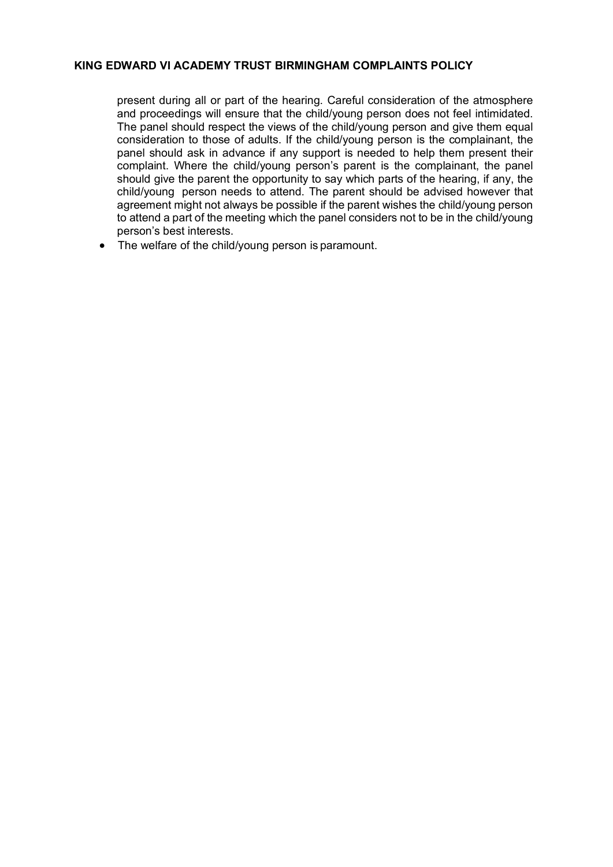present during all or part of the hearing. Careful consideration of the atmosphere and proceedings will ensure that the child/young person does not feel intimidated. The panel should respect the views of the child/young person and give them equal consideration to those of adults. If the child/young person is the complainant, the panel should ask in advance if any support is needed to help them present their complaint. Where the child/young person's parent is the complainant, the panel should give the parent the opportunity to say which parts of the hearing, if any, the child/young person needs to attend. The parent should be advised however that agreement might not always be possible if the parent wishes the child/young person to attend a part of the meeting which the panel considers not to be in the child/young person's best interests.

• The welfare of the child/young person is paramount.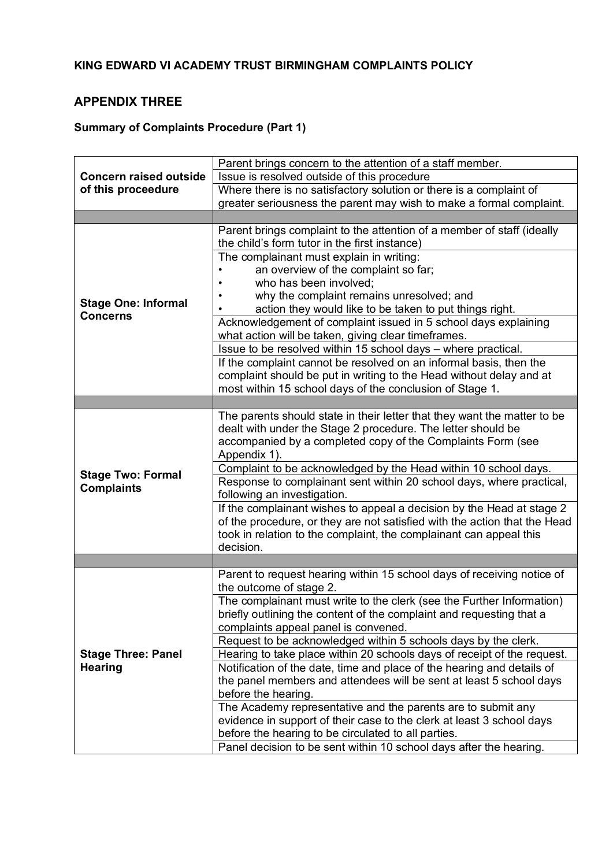# <span id="page-26-0"></span>**APPENDIX THREE**

# <span id="page-26-1"></span>**Summary of Complaints Procedure (Part 1)**

|                               | Parent brings concern to the attention of a staff member.                                                                                     |
|-------------------------------|-----------------------------------------------------------------------------------------------------------------------------------------------|
| <b>Concern raised outside</b> | Issue is resolved outside of this procedure                                                                                                   |
| of this proceedure            | Where there is no satisfactory solution or there is a complaint of                                                                            |
|                               | greater seriousness the parent may wish to make a formal complaint.                                                                           |
|                               |                                                                                                                                               |
|                               | Parent brings complaint to the attention of a member of staff (ideally                                                                        |
|                               | the child's form tutor in the first instance)                                                                                                 |
|                               | The complainant must explain in writing:                                                                                                      |
|                               | an overview of the complaint so far;                                                                                                          |
|                               | who has been involved;                                                                                                                        |
| <b>Stage One: Informal</b>    | why the complaint remains unresolved; and                                                                                                     |
| <b>Concerns</b>               | action they would like to be taken to put things right.                                                                                       |
|                               | Acknowledgement of complaint issued in 5 school days explaining                                                                               |
|                               | what action will be taken, giving clear timeframes.                                                                                           |
|                               | Issue to be resolved within 15 school days - where practical.                                                                                 |
|                               | If the complaint cannot be resolved on an informal basis, then the                                                                            |
|                               | complaint should be put in writing to the Head without delay and at                                                                           |
|                               | most within 15 school days of the conclusion of Stage 1.                                                                                      |
|                               |                                                                                                                                               |
|                               | The parents should state in their letter that they want the matter to be                                                                      |
|                               | dealt with under the Stage 2 procedure. The letter should be                                                                                  |
|                               | accompanied by a completed copy of the Complaints Form (see                                                                                   |
|                               | Appendix 1).                                                                                                                                  |
| <b>Stage Two: Formal</b>      | Complaint to be acknowledged by the Head within 10 school days.                                                                               |
| <b>Complaints</b>             | Response to complainant sent within 20 school days, where practical,                                                                          |
|                               | following an investigation.                                                                                                                   |
|                               | If the complainant wishes to appeal a decision by the Head at stage 2                                                                         |
|                               | of the procedure, or they are not satisfied with the action that the Head                                                                     |
|                               | took in relation to the complaint, the complainant can appeal this                                                                            |
|                               | decision.                                                                                                                                     |
|                               |                                                                                                                                               |
|                               | Parent to request hearing within 15 school days of receiving notice of                                                                        |
|                               | the outcome of stage 2.                                                                                                                       |
|                               | The complainant must write to the clerk (see the Further Information)<br>briefly outlining the content of the complaint and requesting that a |
|                               | complaints appeal panel is convened.                                                                                                          |
|                               | Request to be acknowledged within 5 schools days by the clerk.                                                                                |
| <b>Stage Three: Panel</b>     | Hearing to take place within 20 schools days of receipt of the request.                                                                       |
| <b>Hearing</b>                | Notification of the date, time and place of the hearing and details of                                                                        |
|                               | the panel members and attendees will be sent at least 5 school days                                                                           |
|                               | before the hearing.                                                                                                                           |
|                               | The Academy representative and the parents are to submit any                                                                                  |
|                               | evidence in support of their case to the clerk at least 3 school days                                                                         |
|                               | before the hearing to be circulated to all parties.                                                                                           |
|                               | Panel decision to be sent within 10 school days after the hearing.                                                                            |